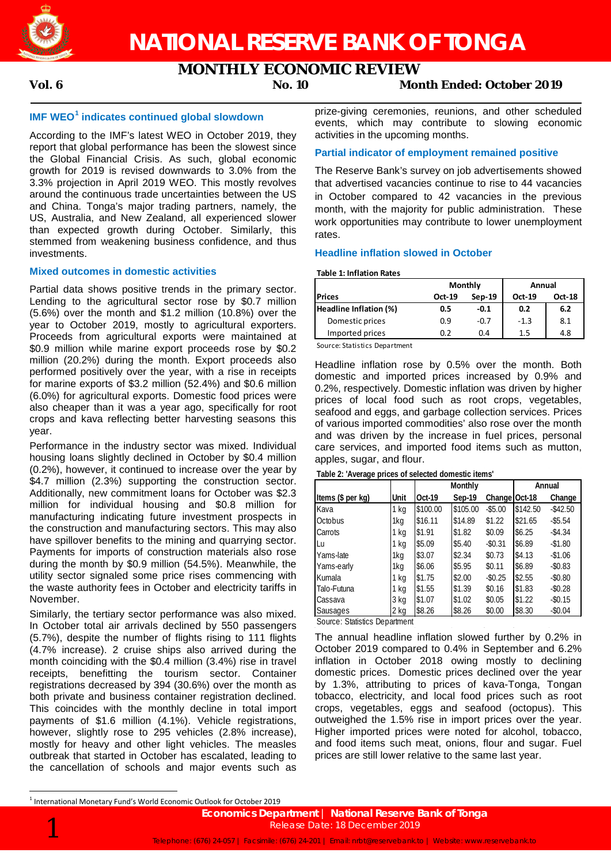

# **MONTHLY ECONOMIC REVIEW**

# **Vol. 6 No. 10 Month Ended: October 2019**

# **IMF WEO<sup>1</sup> indicates continued global slowdown**

According to the IMF's latest WEO in October 2019, they report that global performance has been the slowest since the Global Financial Crisis. As such, global economic growth for 2019 is revised downwards to 3.0% from the 3.3% projection in April 2019 WEO. This mostly revolves around the continuous trade uncertainties between the US and China. Tonga's major trading partners, namely, the US, Australia, and New Zealand, all experienced slower than expected growth during October. Similarly, this stemmed from weakening business confidence, and thus investments.

### **Mixed outcomes in domestic activities**

Partial data shows positive trends in the primary sector. Lending to the agricultural sector rose by \$0.7 million (5.6%) over the month and \$1.2 million (10.8%) over the year to October 2019, mostly to agricultural exporters. Proceeds from agricultural exports were maintained at \$0.9 million while marine export proceeds rose by \$0.2 million (20.2%) during the month. Export proceeds also performed positively over the year, with a rise in receipts for marine exports of \$3.2 million (52.4%) and \$0.6 million (6.0%) for agricultural exports. Domestic food prices were also cheaper than it was a year ago, specifically for root crops and kava reflecting better harvesting seasons this year.

Performance in the industry sector was mixed. Individual housing loans slightly declined in October by \$0.4 million (0.2%), however, it continued to increase over the year by \$4.7 million (2.3%) supporting the construction sector. Additionally, new commitment loans for October was \$2.3 million for individual housing and \$0.8 million for manufacturing indicating future investment prospects in the construction and manufacturing sectors. This may also have spillover benefits to the mining and quarrying sector. Payments for imports of construction materials also rose during the month by \$0.9 million (54.5%). Meanwhile, the utility sector signaled some price rises commencing with the waste authority fees in October and electricity tariffs in November.

Similarly, the tertiary sector performance was also mixed. In October total air arrivals declined by 550 passengers (5.7%), despite the number of flights rising to 111 flights (4.7% increase). 2 cruise ships also arrived during the month coinciding with the \$0.4 million (3.4%) rise in travel receipts, benefitting the tourism sector. Container registrations decreased by 394 (30.6%) over the month as both private and business container registration declined. This coincides with the monthly decline in total import payments of \$1.6 million (4.1%). Vehicle registrations, however, slightly rose to 295 vehicles (2.8% increase), mostly for heavy and other light vehicles. The measles outbreak that started in October has escalated, leading to the cancellation of schools and major events such as prize-giving ceremonies, reunions, and other scheduled events, which may contribute to slowing economic activities in the upcoming months.

# **Partial indicator of employment remained positive**

The Reserve Bank's survey on job advertisements showed that advertised vacancies continue to rise to 44 vacancies in October compared to 42 vacancies in the previous month, with the majority for public administration. These work opportunities may contribute to lower unemployment rates.

### **Headline inflation slowed in October**

#### **Table 1: Inflation Rates**

|                        | <b>Monthly</b> |          | Annual        |               |  |
|------------------------|----------------|----------|---------------|---------------|--|
| <b>Prices</b>          | <b>Oct-19</b>  | $Sep-19$ | <b>Oct-19</b> | <b>Oct-18</b> |  |
| Headline Inflation (%) | 0.5            | $-0.1$   | 0.2           | 6.2           |  |
| Domestic prices        | 0.9            | $-0.7$   | $-1.3$        | 8.1           |  |
| Imported prices        | 0.2            | 0.4      | 1.5           | 4.8           |  |

Source: Statistics Department

Headline inflation rose by 0.5% over the month. Both domestic and imported prices increased by 0.9% and 0.2%, respectively. Domestic inflation was driven by higher prices of local food such as root crops, vegetables, seafood and eggs, and garbage collection services. Prices of various imported commodities' also rose over the month and was driven by the increase in fuel prices, personal care services, and imported food items such as mutton, apples, sugar, and flour.

**Table 2: 'Average prices of selected domestic items'**

|                   |      |          | Monthly  | Annual          |          |            |
|-------------------|------|----------|----------|-----------------|----------|------------|
| Items (\$ per kg) | Unit | Oct-19   | Sep-19   | Change   Oct-18 |          | Change     |
| Kava              | 1 kg | \$100.00 | \$105.00 | $-$ \$5.00      | \$142.50 | $-$42.50$  |
| Octobus           | 1kg  | \$16.11  | \$14.89  | \$1.22          | \$21.65  | $-$ \$5.54 |
| Carrots           | 1 kg | \$1.91   | \$1.82   | \$0.09          | \$6.25   | $-$4.34$   |
| Lu                | 1 kg | \$5.09   | \$5.40   | $-$0.31$        | \$6.89   | $-$1.80$   |
| Yams-late         | 1kg  | \$3.07   | \$2.34   | \$0.73          | \$4.13   | $-$1.06$   |
| Yams-early        | 1kg  | \$6.06   | \$5.95   | \$0.11          | \$6.89   | $-$0.83$   |
| Kumala            | 1 kg | \$1.75   | \$2.00   | $-$0.25$        | \$2.55   | $-$0.80$   |
| Talo-Futuna       | 1 kg | \$1.55   | \$1.39   | \$0.16          | \$1.83   | $-$0.28$   |
| Cassava           | 3 kg | \$1.07   | \$1.02   | \$0.05          | \$1.22   | $-$0.15$   |
| Sausages          | 2 kg | \$8.26   | \$8.26   | \$0.00          | \$8.30   | $-$0.04$   |

Source: Statistics Department

The annual headline inflation slowed further by 0.2% in October 2019 compared to 0.4% in September and 6.2% inflation in October 2018 owing mostly to declining domestic prices. Domestic prices declined over the year by 1.3%, attributing to prices of kava-Tonga, Tongan tobacco, electricity, and local food prices such as root crops, vegetables, eggs and seafood (octopus). This outweighed the 1.5% rise in import prices over the year. Higher imported prices were noted for alcohol, tobacco, and food items such meat, onions, flour and sugar. Fuel prices are still lower relative to the same last year.

 $<sup>1</sup>$  International Monetary Fund's World Economic Outlook for October 2019</sup>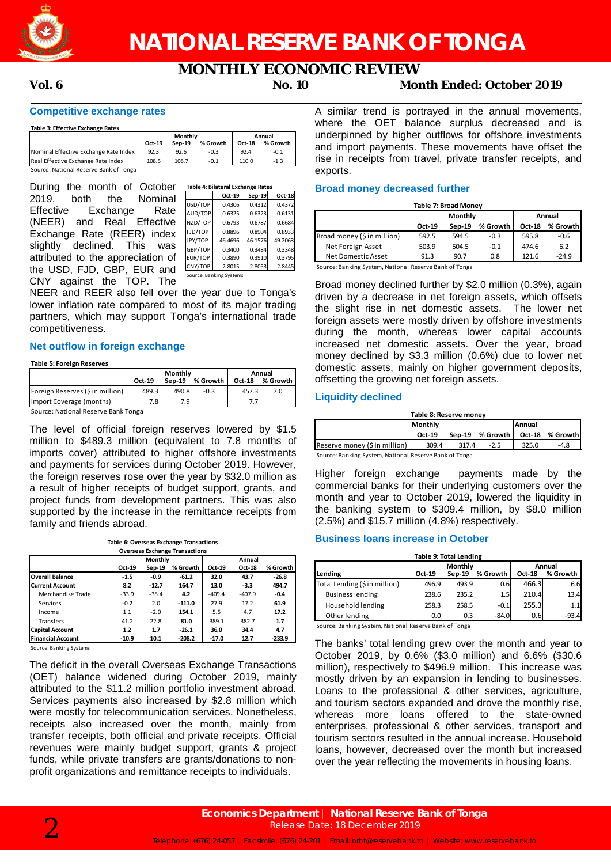

# **MONTHLY ECONOMIC REVIEW Vol. 6 No. 10 Month Ended: October 2019**

## **Competitive exchange rates**

#### **Table 3: Effective Exchange Rates**

|                                        |        | Monthly | Annual   |        |          |
|----------------------------------------|--------|---------|----------|--------|----------|
|                                        | Oct-19 | Sep-19  | % Growth | Oct-18 | % Growth |
| Nominal Effective Exchange Rate Index  | 92.3   | 92.6    | $-0.3$   | 92.4   | -0.1     |
| Real Effective Exchange Rate Index     | 108.5  | 108.7   | $-0.1$   | 110.0  | $-1.3$   |
| Source: National Reserve Bank of Tonga |        |         |          |        |          |

rce: National Reserve Bank of Tong

| During the month of October       |         | Table 4: Bilateral Exchange Rates |         |         |
|-----------------------------------|---------|-----------------------------------|---------|---------|
| 2019.<br>both<br>Nominal<br>the   |         | Oct-19                            | Sep-19  | Oct-18  |
|                                   | USD/TOP | 0.4306                            | 0.4312  | 0.4372  |
| Effective Exchange Rate           | AUD/TOP | 0.6325                            | 0.6323  | 0.6131  |
| (NEER) and Real Effective         | NZD/TOP | 0.6793                            | 0.6787  | 0.6684  |
| Exchange Rate (REER) index        | FJD/TOP | 0.8896                            | 0.8904  | 0.8933  |
|                                   | JPY/TOP | 46.4696                           | 46.1576 | 49.2063 |
| slightly declined. This was       | GBP/TOP | 0.3400                            | 0.3484  | 0.3348  |
| attributed to the appreciation of | EUR/TOP | 0.3890                            | 0.3910  | 0.3795  |
| the USD, FJD, GBP, EUR and        | CNY/TOP | 2.8015                            | 2.8053  | 2.8445  |
| CNY against the TOP. The          |         | Source: Banking Systems           |         |         |

NEER and REER also fell over the year due to Tonga's lower inflation rate compared to most of its major trading partners, which may support Tonga's international trade competitiveness.

# **Net outflow in foreign exchange**

#### **Table 5: Foreign Reserves**

|                                     | Monthly |          |          | Annual        |            |  |
|-------------------------------------|---------|----------|----------|---------------|------------|--|
|                                     | Oct-19  | $Sen-19$ | % Growth | <b>Oct-18</b> | % Growth I |  |
| Foreign Reserves (\$ in million)    | 489.3   | 490.8    | $-0.3$   | 457.3         | 7.0        |  |
| Import Coverage (months)            |         | 7.9      |          |               |            |  |
| Course: National Besenie Bank Tonga |         |          |          |               |            |  |

Source: National Reserve Bank Tonga

The level of official foreign reserves lowered by \$1.5 million to \$489.3 million (equivalent to 7.8 months of imports cover) attributed to higher offshore investments and payments for services during October 2019. However, the foreign reserves rose over the year by \$32.0 million as a result of higher receipts of budget support, grants, and project funds from development partners. This was also supported by the increase in the remittance receipts from family and friends abroad.

| Table 6: Overseas Exchange Transactions |
|-----------------------------------------|
| Overseas Exchange Transactions          |

| <b>Overseas Exchange Transactions</b> |         |          |          |          |          |          |  |  |
|---------------------------------------|---------|----------|----------|----------|----------|----------|--|--|
|                                       |         | Monthly  |          |          | Annual   |          |  |  |
|                                       | Oct-19  | $Sep-19$ | % Growth | Oct-19   | Oct-18   | % Growth |  |  |
| <b>Overall Balance</b>                | $-1.5$  | $-0.9$   | $-61.2$  | 32.0     | 43.7     | $-26.8$  |  |  |
| <b>Current Account</b>                | 8.2     | $-12.7$  | 164.7    | 13.0     | $-3.3$   | 494.7    |  |  |
| Merchandise Trade                     | $-33.9$ | $-35.4$  | 4.2      | $-409.4$ | $-407.9$ | $-0.4$   |  |  |
| Services                              | $-0.2$  | 2.0      | $-111.0$ | 27.9     | 17.2     | 61.9     |  |  |
| Income                                | 1.1     | $-2.0$   | 154.1    | 5.5      | 4.7      | 17.2     |  |  |
| <b>Transfers</b>                      | 41.2    | 22.8     | 81.0     | 389.1    | 382.7    | 1.7      |  |  |
| <b>Capital Account</b>                | 1.2     | 1.7      | $-26.1$  | 36.0     | 34.4     | 4.7      |  |  |
| <b>Financial Account</b>              | $-10.9$ | 10.1     | $-208.2$ | $-17.0$  | 12.7     | $-233.9$ |  |  |

Source: Banking Systems

The deficit in the overall Overseas Exchange Transactions (OET) balance widened during October 2019, mainly attributed to the \$11.2 million portfolio investment abroad. Services payments also increased by \$2.8 million which were mostly for telecommunication services. Nonetheless, receipts also increased over the month, mainly from transfer receipts, both official and private receipts. Official revenues were mainly budget support, grants & project funds, while private transfers are grants/donations to nonprofit organizations and remittance receipts to individuals.

A similar trend is portrayed in the annual movements, where the OET balance surplus decreased and is underpinned by higher outflows for offshore investments and import payments. These movements have offset the rise in receipts from travel, private transfer receipts, and exports.

# **Broad money decreased further**

| <b>Table 7: Broad Money</b><br>Annual |        |         |            |        |          |  |  |
|---------------------------------------|--------|---------|------------|--------|----------|--|--|
|                                       |        | Monthly |            |        |          |  |  |
|                                       | Oct-19 | Sep-19  | % Growth I | Oct-18 | % Growth |  |  |
| Broad money (\$ in million)           | 592.5  | 594.5   | $-0.3$     | 595.8  | $-0.6$   |  |  |
| Net Foreign Asset                     | 503.9  | 504.5   | $-0.1$     | 474.6  | 6.2      |  |  |
| Net Domestic Asset                    | 91.3   | 90.7    | 0.8        | 121.6  | $-24.9$  |  |  |

Source: Banking System, National Reserve Bank of Tonga

Broad money declined further by \$2.0 million (0.3%), again driven by a decrease in net foreign assets, which offsets the slight rise in net domestic assets. The lower net foreign assets were mostly driven by offshore investments during the month, whereas lower capital accounts increased net domestic assets. Over the year, broad money declined by \$3.3 million (0.6%) due to lower net domestic assets, mainly on higher government deposits, offsetting the growing net foreign assets.

# **Liquidity declined**

| Table 8: Reserve money        |        |       |                 |       |                 |  |
|-------------------------------|--------|-------|-----------------|-------|-----------------|--|
| Monthly<br>Annual             |        |       |                 |       |                 |  |
|                               | Oct-19 |       | Sep-19 % Growth |       | Oct-18 % Growth |  |
| Reserve money (\$ in million) | 309.4  | 317.4 | $-2.5$          | 325.0 | $-4.8$          |  |

Source: Banking System, National Reserve Bank of Tonga

Higher foreign exchange payments made by the commercial banks for their underlying customers over the month and year to October 2019, lowered the liquidity in the banking system to \$309.4 million, by \$8.0 million (2.5%) and \$15.7 million (4.8%) respectively.

### **Business loans increase in October**

| <b>Table 9: Total Lending</b> |                   |          |          |        |          |  |  |
|-------------------------------|-------------------|----------|----------|--------|----------|--|--|
|                               | Monthly<br>Annual |          |          |        |          |  |  |
| Lending                       | Oct-19            | $Sep-19$ | % Growth | Oct-18 | % Growth |  |  |
| Total Lending (\$ in million) | 496.9             | 493.9    | 0.6      | 466.3  | 6.6      |  |  |
| <b>Business lending</b>       | 238.6             | 235.2    | 1.5      | 210.4  | 13.4     |  |  |
| Household lending             | 258.3             | 258.5    | $-0.1$   | 255.3  | 1.1      |  |  |
| Other lending                 | 0.0               | 0.3      | $-84.0$  | 0.6    | $-93.4$  |  |  |

Source: Banking System, National Reserve Bank of Tonga

The banks' total lending grew over the month and year to October 2019, by 0.6% (\$3.0 million) and 6.6% (\$30.6 million), respectively to \$496.9 million. This increase was mostly driven by an expansion in lending to businesses. Loans to the professional & other services, agriculture, and tourism sectors expanded and drove the monthly rise, whereas more loans offered to the state-owned enterprises, professional & other services, transport and tourism sectors resulted in the annual increase. Household loans, however, decreased over the month but increased over the year reflecting the movements in housing loans.